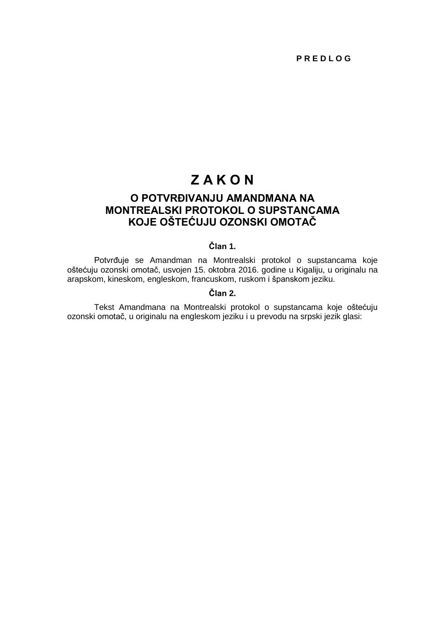# **Z A K O N**

# **O POTVRĐIVANJU AMANDMANA NA MONTREALSKI PROTOKOL O SUPSTANCAMA KOJE OŠTEĆUJU OZONSKI OMOTAČ**

## **Član 1.**

Potvrđuje se Amandman na Montrealski protokol o supstancama koje oštećuju ozonski omotač, usvojen 15. oktobra 2016. godine u Kigaliju, u originalu na arapskom, kineskom, engleskom, francuskom, ruskom i španskom jeziku.

# **Član 2.**

Tekst Amandmana na Montrealski protokol o supstancama koje oštećuju ozonski omotač, u originalu na engleskom jeziku i u prevodu na srpski jezik glasi: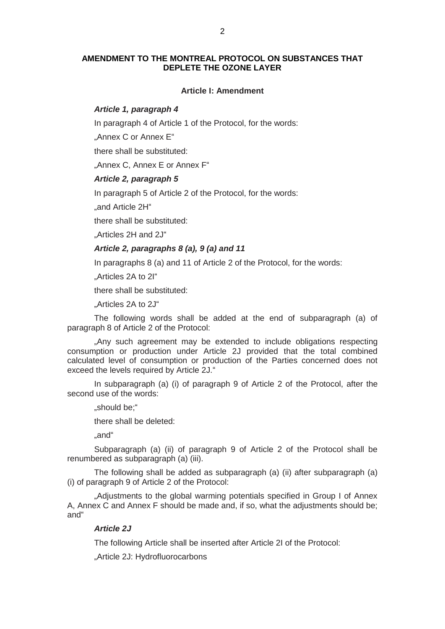#### **AMENDMENT TO THE MONTREAL PROTOCOL ON SUBSTANCES THAT DEPLETE THE OZONE LAYER**

#### **Article I: Amendment**

### *Article 1, paragraph 4*

In paragraph 4 of Article 1 of the Protocol, for the words:

"Annex C or Annex E"

there shall be substituted:

"Annex C, Annex E or Annex F"

# *Article 2, paragraph 5*

In paragraph 5 of Article 2 of the Protocol, for the words:

.and Article 2H"

there shall be substituted:

"Articles 2H and 2J"

# *Article 2, paragraphs 8 (a), 9 (a) and 11*

In paragraphs 8 (a) and 11 of Article 2 of the Protocol, for the words:

"Articles 2A to 2I"

there shall be substituted:

"Articles 2A to 2J"

The following words shall be added at the end of subparagraph (a) of paragraph 8 of Article 2 of the Protocol:

"Any such agreement may be extended to include obligations respecting consumption or production under Article 2J provided that the total combined calculated level of consumption or production of the Parties concerned does not exceed the levels required by Article 2J."

In subparagraph (a) (i) of paragraph 9 of Article 2 of the Protocol, after the second use of the words:

"should be;"

there shall be deleted:

"and"

Subparagraph (a) (ii) of paragraph 9 of Article 2 of the Protocol shall be renumbered as subparagraph (a) (iii).

The following shall be added as subparagraph (a) (ii) after subparagraph (a) (i) of paragraph 9 of Article 2 of the Protocol:

"Adjustments to the global warming potentials specified in Group I of Annex A, Annex C and Annex F should be made and, if so, what the adjustments should be; and"

#### *Article 2J*

The following Article shall be inserted after Article 2I of the Protocol:

"Article 2J: Hydrofluorocarbons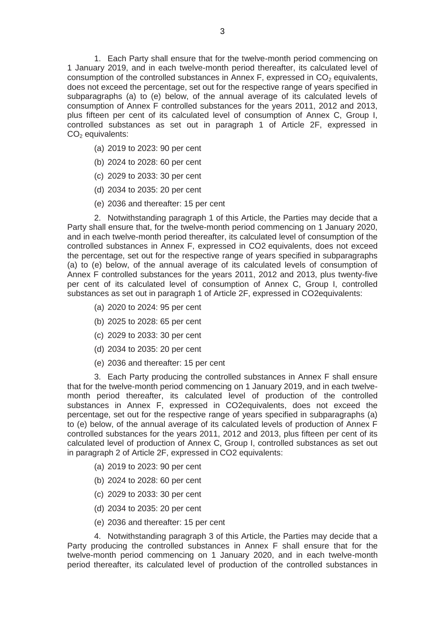1. Each Party shall ensure that for the twelve-month period commencing on 1 January 2019, and in each twelve-month period thereafter, its calculated level of consumption of the controlled substances in Annex F, expressed in  $CO<sub>2</sub>$  equivalents, does not exceed the percentage, set out for the respective range of years specified in subparagraphs (a) to (e) below, of the annual average of its calculated levels of consumption of Annex F controlled substances for the years 2011, 2012 and 2013, plus fifteen per cent of its calculated level of consumption of Annex C, Group I, controlled substances as set out in paragraph 1 of Article 2F, expressed in  $CO<sub>2</sub>$  equivalents:

- (a) 2019 to 2023: 90 per cent
- (b) 2024 to 2028: 60 per cent
- (c) 2029 to 2033: 30 per cent
- (d) 2034 to 2035: 20 per cent
- (e) 2036 and thereafter: 15 per cent

2. Notwithstanding paragraph 1 of this Article, the Parties may decide that a Party shall ensure that, for the twelve-month period commencing on 1 January 2020, and in each twelve-month period thereafter, its calculated level of consumption of the controlled substances in Annex F, expressed in CO2 equivalents, does not exceed the percentage, set out for the respective range of years specified in subparagraphs (a) to (e) below, of the annual average of its calculated levels of consumption of Annex F controlled substances for the years 2011, 2012 and 2013, plus twenty-five per cent of its calculated level of consumption of Annex C, Group I, controlled substances as set out in paragraph 1 of Article 2F, expressed in CO2equivalents:

- (a) 2020 to 2024: 95 per cent
- (b) 2025 to 2028: 65 per cent
- (c) 2029 to 2033: 30 per cent
- (d) 2034 to 2035: 20 per cent
- (e) 2036 and thereafter: 15 per cent

3. Each Party producing the controlled substances in Annex F shall ensure that for the twelve-month period commencing on 1 January 2019, and in each twelvemonth period thereafter, its calculated level of production of the controlled substances in Annex F, expressed in CO2equivalents, does not exceed the percentage, set out for the respective range of years specified in subparagraphs (a) to (e) below, of the annual average of its calculated levels of production of Annex F controlled substances for the years 2011, 2012 and 2013, plus fifteen per cent of its calculated level of production of Annex C, Group I, controlled substances as set out in paragraph 2 of Article 2F, expressed in CO2 equivalents:

- (a) 2019 to 2023: 90 per cent
- (b) 2024 to 2028: 60 per cent
- (c) 2029 to 2033: 30 per cent
- (d) 2034 to 2035: 20 per cent
- (e) 2036 and thereafter: 15 per cent

4. Notwithstanding paragraph 3 of this Article, the Parties may decide that a Party producing the controlled substances in Annex F shall ensure that for the twelve-month period commencing on 1 January 2020, and in each twelve-month period thereafter, its calculated level of production of the controlled substances in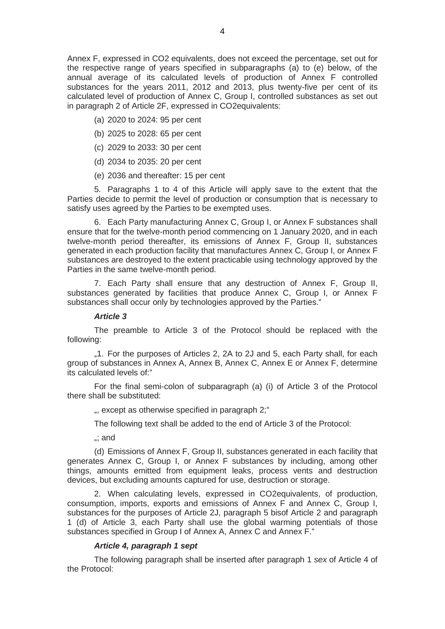Annex F, expressed in CO2 equivalents, does not exceed the percentage, set out for the respective range of years specified in subparagraphs (a) to (e) below, of the annual average of its calculated levels of production of Annex F controlled substances for the years 2011, 2012 and 2013, plus twenty-five per cent of its calculated level of production of Annex C, Group I, controlled substances as set out in paragraph 2 of Article 2F, expressed in CO2equivalents:

- (a) 2020 to 2024: 95 per cent
- (b) 2025 to 2028: 65 per cent
- (c) 2029 to 2033: 30 per cent
- (d) 2034 to 2035: 20 per cent
- (e) 2036 and thereafter: 15 per cent

5. Paragraphs 1 to 4 of this Article will apply save to the extent that the Parties decide to permit the level of production or consumption that is necessary to satisfy uses agreed by the Parties to be exempted uses.

6. Each Party manufacturing Annex C, Group I, or Annex F substances shall ensure that for the twelve-month period commencing on 1 January 2020, and in each twelve-month period thereafter, its emissions of Annex F, Group II, substances generated in each production facility that manufactures Annex C, Group I, or Annex F substances are destroyed to the extent practicable using technology approved by the Parties in the same twelve-month period.

7. Each Party shall ensure that any destruction of Annex F, Group II, substances generated by facilities that produce Annex C, Group I, or Annex F substances shall occur only by technologies approved by the Parties."

#### *Article 3*

The preamble to Article 3 of the Protocol should be replaced with the following:

"1. For the purposes of Articles 2, 2A to 2J and 5, each Party shall, for each group of substances in Annex A, Annex B, Annex C, Annex E or Annex F, determine its calculated levels of:"

For the final semi-colon of subparagraph (a) (i) of Article 3 of the Protocol there shall be substituted:

", except as otherwise specified in paragraph 2;"

The following text shall be added to the end of Article 3 of the Protocol:

 $\therefore$  and

(d) Emissions of Annex F, Group II, substances generated in each facility that generates Annex C, Group I, or Annex F substances by including, among other things, amounts emitted from equipment leaks, process vents and destruction devices, but excluding amounts captured for use, destruction or storage.

2. When calculating levels, expressed in CO2equivalents, of production, consumption, imports, exports and emissions of Annex F and Annex C, Group I, substances for the purposes of Article 2J, paragraph 5 bisof Article 2 and paragraph 1 (d) of Article 3, each Party shall use the global warming potentials of those substances specified in Group I of Annex A, Annex C and Annex F."

#### *Article 4, paragraph 1 sept*

The following paragraph shall be inserted after paragraph 1 *sex* of Article 4 of the Protocol: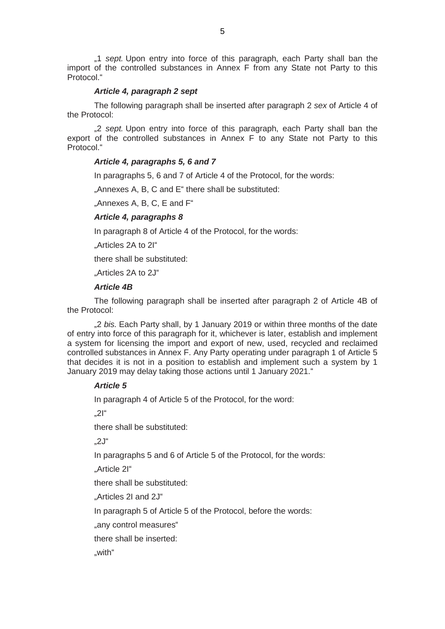"1 *sept.* Upon entry into force of this paragraph, each Party shall ban the import of the controlled substances in Annex F from any State not Party to this Protocol."

#### *Article 4, paragraph 2 sept*

The following paragraph shall be inserted after paragraph 2 *sex* of Article 4 of the Protocol:

"2 *sept.* Upon entry into force of this paragraph, each Party shall ban the export of the controlled substances in Annex F to any State not Party to this Protocol."

### *Article 4, paragraphs 5, 6 and 7*

In paragraphs 5, 6 and 7 of Article 4 of the Protocol, for the words:

"Annexes A, B, C and E" there shall be substituted:

"Annexes A, B, C, E and F"

### *Article 4, paragraphs 8*

In paragraph 8 of Article 4 of the Protocol, for the words:

"Articles 2A to 2I"

there shall be substituted:

"Articles 2A to 2J"

#### *Article 4B*

The following paragraph shall be inserted after paragraph 2 of Article 4B of the Protocol:

"2 *bis.* Each Party shall, by 1 January 2019 or within three months of the date of entry into force of this paragraph for it, whichever is later, establish and implement a system for licensing the import and export of new, used, recycled and reclaimed controlled substances in Annex F. Any Party operating under paragraph 1 of Article 5 that decides it is not in a position to establish and implement such a system by 1 January 2019 may delay taking those actions until 1 January 2021."

#### *Article 5*

In paragraph 4 of Article 5 of the Protocol, for the word:

 $.2$ I"

there shall be substituted:

"2J"

In paragraphs 5 and 6 of Article 5 of the Protocol, for the words:

"Article 2I"

there shall be substituted:

"Articles 2I and 2J"

In paragraph 5 of Article 5 of the Protocol, before the words:

"any control measures"

there shall be inserted:

"with"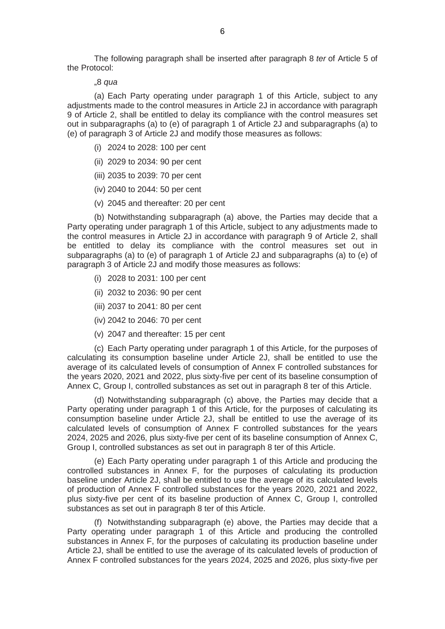The following paragraph shall be inserted after paragraph 8 *ter* of Article 5 of the Protocol:

"8 *qua*

(a) Each Party operating under paragraph 1 of this Article, subject to any adjustments made to the control measures in Article 2J in accordance with paragraph 9 of Article 2, shall be entitled to delay its compliance with the control measures set out in subparagraphs (a) to (e) of paragraph 1 of Article 2J and subparagraphs (a) to (e) of paragraph 3 of Article 2J and modify those measures as follows:

- (i) 2024 to 2028: 100 per cent
- (ii) 2029 to 2034: 90 per cent
- (iii) 2035 to 2039: 70 per cent
- (iv) 2040 to 2044: 50 per cent
- (v) 2045 and thereafter: 20 per cent

(b) Notwithstanding subparagraph (a) above, the Parties may decide that a Party operating under paragraph 1 of this Article, subject to any adjustments made to the control measures in Article 2J in accordance with paragraph 9 of Article 2, shall be entitled to delay its compliance with the control measures set out in subparagraphs (a) to (e) of paragraph 1 of Article 2J and subparagraphs (a) to (e) of paragraph 3 of Article 2J and modify those measures as follows:

- (i) 2028 to 2031: 100 per cent
- (ii) 2032 to 2036: 90 per cent
- (iii) 2037 to 2041: 80 per cent
- (iv) 2042 to 2046: 70 per cent
- (v) 2047 and thereafter: 15 per cent

(c) Each Party operating under paragraph 1 of this Article, for the purposes of calculating its consumption baseline under Article 2J, shall be entitled to use the average of its calculated levels of consumption of Annex F controlled substances for the years 2020, 2021 and 2022, plus sixty-five per cent of its baseline consumption of Annex C, Group I, controlled substances as set out in paragraph 8 ter of this Article.

(d) Notwithstanding subparagraph (c) above, the Parties may decide that a Party operating under paragraph 1 of this Article, for the purposes of calculating its consumption baseline under Article 2J, shall be entitled to use the average of its calculated levels of consumption of Annex F controlled substances for the years 2024, 2025 and 2026, plus sixty-five per cent of its baseline consumption of Annex C, Group I, controlled substances as set out in paragraph 8 ter of this Article.

(e) Each Party operating under paragraph 1 of this Article and producing the controlled substances in Annex F, for the purposes of calculating its production baseline under Article 2J, shall be entitled to use the average of its calculated levels of production of Annex F controlled substances for the years 2020, 2021 and 2022, plus sixty-five per cent of its baseline production of Annex C, Group I, controlled substances as set out in paragraph 8 ter of this Article.

(f) Notwithstanding subparagraph (e) above, the Parties may decide that a Party operating under paragraph 1 of this Article and producing the controlled substances in Annex F, for the purposes of calculating its production baseline under Article 2J, shall be entitled to use the average of its calculated levels of production of Annex F controlled substances for the years 2024, 2025 and 2026, plus sixty-five per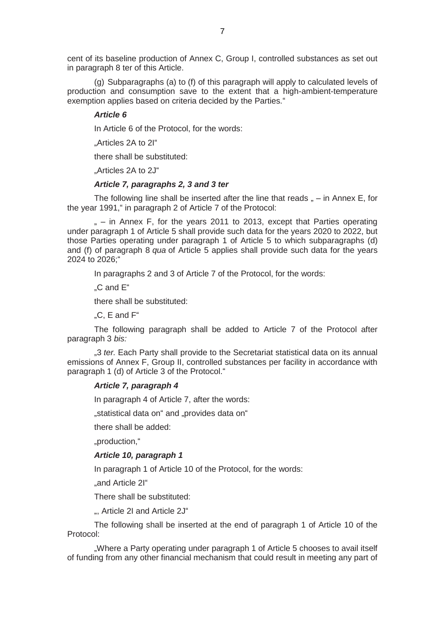cent of its baseline production of Annex C, Group I, controlled substances as set out in paragraph 8 ter of this Article.

(g) Subparagraphs (a) to (f) of this paragraph will apply to calculated levels of production and consumption save to the extent that a high-ambient-temperature exemption applies based on criteria decided by the Parties."

#### *Article 6*

In Article 6 of the Protocol, for the words:

"Articles 2A to 2I"

there shall be substituted:

"Articles 2A to 2J"

#### *Article 7, paragraphs 2, 3 and 3 ter*

The following line shall be inserted after the line that reads  $<sub>n</sub> - in Annex E$ , for</sub> the year 1991," in paragraph 2 of Article 7 of the Protocol:

 $m -$  in Annex F, for the years 2011 to 2013, except that Parties operating under paragraph 1 of Article 5 shall provide such data for the years 2020 to 2022, but those Parties operating under paragraph 1 of Article 5 to which subparagraphs (d) and (f) of paragraph 8 *qua* of Article 5 applies shall provide such data for the years 2024 to 2026;"

In paragraphs 2 and 3 of Article 7 of the Protocol, for the words:

"C and E"

there shall be substituted:

"C, E and F"

The following paragraph shall be added to Article 7 of the Protocol after paragraph 3 *bis:*

"3 *ter.* Each Party shall provide to the Secretariat statistical data on its annual emissions of Annex F, Group II, controlled substances per facility in accordance with paragraph 1 (d) of Article 3 of the Protocol."

#### *Article 7, paragraph 4*

In paragraph 4 of Article 7, after the words:

"statistical data on" and "provides data on"

there shall be added:

"production,"

#### *Article 10, paragraph 1*

In paragraph 1 of Article 10 of the Protocol, for the words:

"and Article 2I"

There shall be substituted:

", Article 2I and Article 2J"

The following shall be inserted at the end of paragraph 1 of Article 10 of the Protocol:

.Where a Party operating under paragraph 1 of Article 5 chooses to avail itself of funding from any other financial mechanism that could result in meeting any part of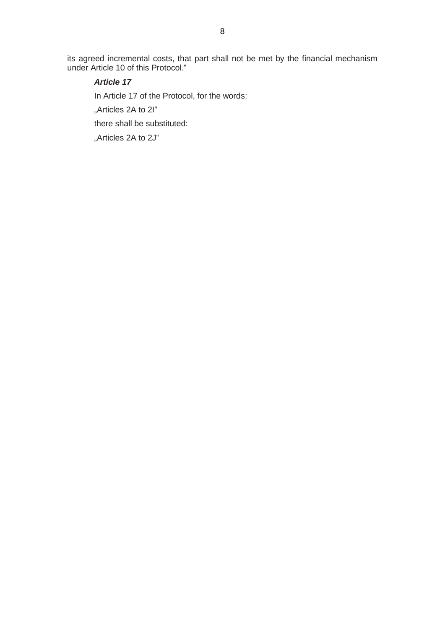its agreed incremental costs, that part shall not be met by the financial mechanism under Article 10 of this Protocol."

# *Article 17*

In Article 17 of the Protocol, for the words:

"Articles 2A to 2I"

there shall be substituted:

"Articles 2A to 2J"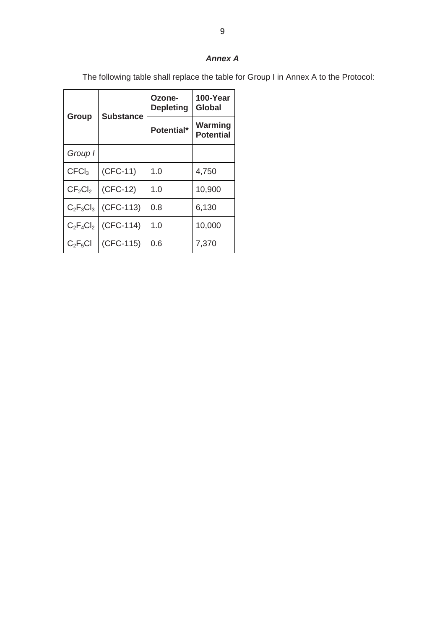The following table shall replace the table for Group I in Annex A to the Protocol:

|                                 | <b>Substance</b> | Ozone-<br><b>Depleting</b> | 100-Year<br>Global          |
|---------------------------------|------------------|----------------------------|-----------------------------|
| Group                           |                  | Potential*                 | Warming<br><b>Potential</b> |
| Group I                         |                  |                            |                             |
| CFCI <sub>3</sub>               | $(CFC-11)$       | 1.0                        | 4,750                       |
| CF <sub>2</sub> Cl <sub>2</sub> | $(CFC-12)$       | 1.0                        | 10,900                      |
| $C_2F_3Cl_3$                    | (CFC-113)        | 0.8                        | 6,130                       |
| $C_2F_4Cl_2$                    | (CFC-114)        | 1.0                        | 10,000                      |
| $C_2F_5Cl$                      | (CFC-115)        | 0.6                        | 7,370                       |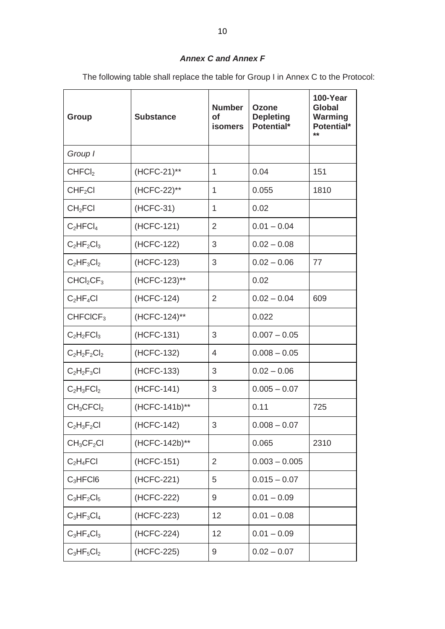# *Annex C and Annex F*

The following table shall replace the table for Group I in Annex C to the Protocol:

| <b>Group</b>                      | <b>Substance</b> | <b>Number</b><br><b>of</b><br><b>isomers</b> | <b>Ozone</b><br><b>Depleting</b><br>Potential* | 100-Year<br><b>Global</b><br>Warming<br>Potential*<br>$**$ |
|-----------------------------------|------------------|----------------------------------------------|------------------------------------------------|------------------------------------------------------------|
| Group I                           |                  |                                              |                                                |                                                            |
| CHFCI <sub>2</sub>                | (HCFC-21)**      | $\mathbf{1}$                                 | 0.04                                           | 151                                                        |
| CHF <sub>2</sub> Cl               | (HCFC-22)**      | 1                                            | 0.055                                          | 1810                                                       |
| CH <sub>2</sub> FCI               | (HCFC-31)        | $\mathbf{1}$                                 | 0.02                                           |                                                            |
| $C_2$ HFCl <sub>4</sub>           | (HCFC-121)       | $\overline{2}$                               | $0.01 - 0.04$                                  |                                                            |
| $C_2HF_2Cl_3$                     | (HCFC-122)       | 3                                            | $0.02 - 0.08$                                  |                                                            |
| $C_2HF_3Cl_2$                     | (HCFC-123)       | 3                                            | $0.02 - 0.06$                                  | 77                                                         |
| CHCl <sub>2</sub> CF <sub>3</sub> | (HCFC-123)**     |                                              | 0.02                                           |                                                            |
| $C_2HF_4Cl$                       | (HCFC-124)       | $\overline{2}$                               | $0.02 - 0.04$                                  | 609                                                        |
| CHFCICF <sub>3</sub>              | (HCFC-124)**     |                                              | 0.022                                          |                                                            |
| $C_2H_2FCI_3$                     | (HCFC-131)       | 3                                            | $0.007 - 0.05$                                 |                                                            |
| $C_2H_2F_2Cl_2$                   | (HCFC-132)       | $\overline{4}$                               | $0.008 - 0.05$                                 |                                                            |
| $C_2H_2F_3Cl$                     | (HCFC-133)       | 3                                            | $0.02 - 0.06$                                  |                                                            |
| $C_2H_3FCI_2$                     | (HCFC-141)       | 3                                            | $0.005 - 0.07$                                 |                                                            |
| $CH_3CFCI_2$                      | (HCFC-141b)**    |                                              | 0.11                                           | 725                                                        |
| $C_2H_3F_2Cl$                     | (HCFC-142)       | 3                                            | $0.008 - 0.07$                                 |                                                            |
| $CH_3CF_2Cl$                      | (HCFC-142b)**    |                                              | 0.065                                          | 2310                                                       |
| $C_2H_4FCI$                       | (HCFC-151)       | $\overline{2}$                               | $0.003 - 0.005$                                |                                                            |
| $C_3$ HFCI6                       | (HCFC-221)       | 5                                            | $0.015 - 0.07$                                 |                                                            |
| $C_3HF_2Cl_5$                     | (HCFC-222)       | 9                                            | $0.01 - 0.09$                                  |                                                            |
| $C_3HF_3Cl_4$                     | (HCFC-223)       | 12                                           | $0.01 - 0.08$                                  |                                                            |
| $C_3HF_4Cl_3$                     | (HCFC-224)       | 12                                           | $0.01 - 0.09$                                  |                                                            |
| $C_3HF_5Cl_2$                     | (HCFC-225)       | 9                                            | $0.02 - 0.07$                                  |                                                            |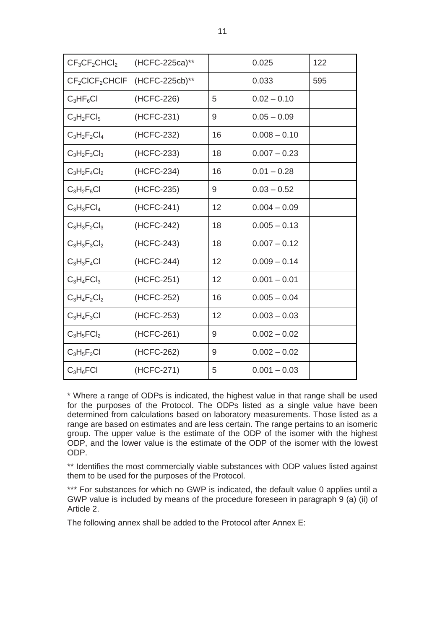| $CF3CF2CHCl2$                           | (HCFC-225ca)** |    | 0.025          | 122 |
|-----------------------------------------|----------------|----|----------------|-----|
| CF <sub>2</sub> CICF <sub>2</sub> CHCIF | (HCFC-225cb)** |    | 0.033          | 595 |
| $C_3HF_6Cl$                             | (HCFC-226)     | 5  | $0.02 - 0.10$  |     |
| $C_3H_2FCI_5$                           | (HCFC-231)     | 9  | $0.05 - 0.09$  |     |
| $C_3H_2F_2Cl_4$                         | (HCFC-232)     | 16 | $0.008 - 0.10$ |     |
| $C_3H_2F_3Cl_3$                         | (HCFC-233)     | 18 | $0.007 - 0.23$ |     |
| $C_3H_2F_4Cl_2$                         | (HCFC-234)     | 16 | $0.01 - 0.28$  |     |
| $C_3H_2F_5Cl$                           | (HCFC-235)     | 9  | $0.03 - 0.52$  |     |
| $C_3H_3FCI_4$                           | (HCFC-241)     | 12 | $0.004 - 0.09$ |     |
| $C_3H_3F_2Cl_3$                         | (HCFC-242)     | 18 | $0.005 - 0.13$ |     |
| $C_3H_3F_3Cl_2$                         | (HCFC-243)     | 18 | $0.007 - 0.12$ |     |
| $C_3H_3F_4Cl$                           | (HCFC-244)     | 12 | $0.009 - 0.14$ |     |
| $C_3H_4FCI_3$                           | (HCFC-251)     | 12 | $0.001 - 0.01$ |     |
| $C_3H_4F_2Cl_2$                         | (HCFC-252)     | 16 | $0.005 - 0.04$ |     |
| $C_3H_4F_3Cl$                           | (HCFC-253)     | 12 | $0.003 - 0.03$ |     |
| $C_3H_5FCI_2$                           | (HCFC-261)     | 9  | $0.002 - 0.02$ |     |
| $C_3H_5F_2Cl$                           | (HCFC-262)     | 9  | $0.002 - 0.02$ |     |
| $C_3H_6FCl$                             | (HCFC-271)     | 5  | $0.001 - 0.03$ |     |

\* Where a range of ODPs is indicated, the highest value in that range shall be used for the purposes of the Protocol. The ODPs listed as a single value have been determined from calculations based on laboratory measurements. Those listed as a range are based on estimates and are less certain. The range pertains to an isomeric group. The upper value is the estimate of the ODP of the isomer with the highest ODP, and the lower value is the estimate of the ODP of the isomer with the lowest ODP.

\*\* Identifies the most commercially viable substances with ODP values listed against them to be used for the purposes of the Protocol.

\*\*\* For substances for which no GWP is indicated, the default value 0 applies until a GWP value is included by means of the procedure foreseen in paragraph 9 (a) (ii) of Article 2.

The following annex shall be added to the Protocol after Annex E: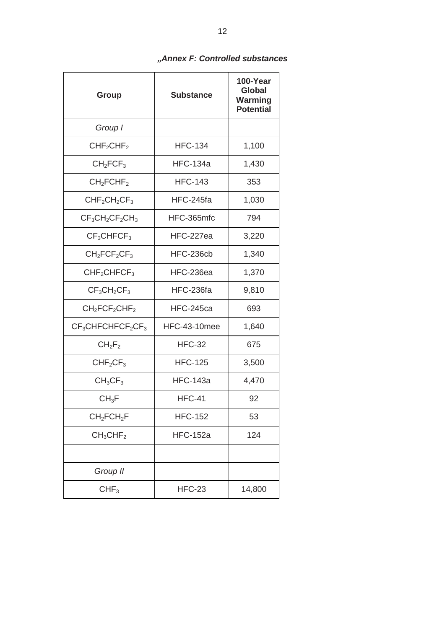|  |  | "Annex F: Controlled substances |  |  |  |
|--|--|---------------------------------|--|--|--|
|--|--|---------------------------------|--|--|--|

| <b>Group</b>                        | <b>Substance</b>    | 100-Year<br>Global<br>Warming<br><b>Potential</b> |
|-------------------------------------|---------------------|---------------------------------------------------|
| Group I                             |                     |                                                   |
| CHF <sub>2</sub> CHF <sub>2</sub>   | <b>HFC-134</b>      | 1,100                                             |
| CH <sub>2</sub> FCF <sub>3</sub>    | <b>HFC-134a</b>     | 1,430                                             |
| CH <sub>2</sub> FCHF <sub>2</sub>   | <b>HFC-143</b>      | 353                                               |
| $CHF2CH2CF3$                        | HFC-245fa           | 1,030                                             |
| $CF_3CH_2CF_2CH_3$                  | HFC-365mfc          | 794                                               |
| CF <sub>3</sub> CHFCF <sub>3</sub>  | HFC-227ea           | 3,220                                             |
| $CH2FCF2CF3$                        | HFC-236cb           | 1,340                                             |
| CHF <sub>2</sub> CHFCF <sub>3</sub> | HFC-236ea           | 1,370                                             |
| $CF_3CH_2CF_3$                      | HFC-236fa           | 9,810                                             |
| $CH2FCF2CHF2$                       | <b>HFC-245ca</b>    | 693                                               |
| $CF3CHFCHFCF2CF3$                   | <b>HFC-43-10mee</b> | 1,640                                             |
| $CH_2F_2$                           | <b>HFC-32</b>       | 675                                               |
| CHF <sub>2</sub> CF <sub>3</sub>    | <b>HFC-125</b>      | 3,500                                             |
| CH <sub>3</sub> CF <sub>3</sub>     | <b>HFC-143a</b>     | 4,470                                             |
| $CH_3F$                             | <b>HFC-41</b>       | 92                                                |
| CH <sub>2</sub> FCH <sub>2</sub> F  | <b>HFC-152</b>      | 53                                                |
| CH <sub>3</sub> CHF <sub>2</sub>    | <b>HFC-152a</b>     | 124                                               |
|                                     |                     |                                                   |
| Group II                            |                     |                                                   |
| CHF <sub>3</sub>                    | <b>HFC-23</b>       | 14,800                                            |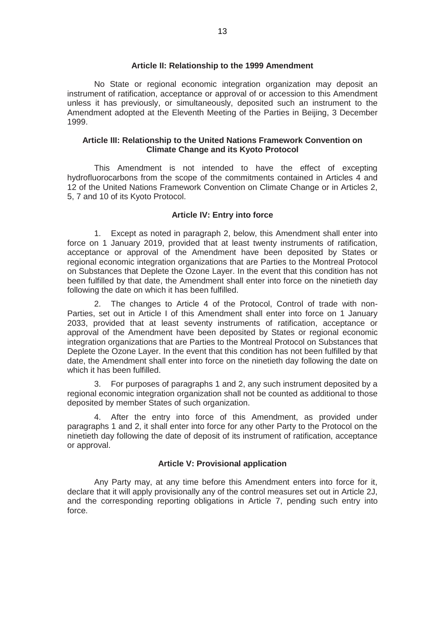#### **Article II: Relationship to the 1999 Amendment**

No State or regional economic integration organization may deposit an instrument of ratification, acceptance or approval of or accession to this Amendment unless it has previously, or simultaneously, deposited such an instrument to the Amendment adopted at the Eleventh Meeting of the Parties in Beijing, 3 December 1999.

#### **Article III: Relationship to the United Nations Framework Convention on Climate Change and its Kyoto Protocol**

This Amendment is not intended to have the effect of excepting hydrofluorocarbons from the scope of the commitments contained in Articles 4 and 12 of the United Nations Framework Convention on Climate Change or in Articles 2, 5, 7 and 10 of its Kyoto Protocol.

#### **Article IV: Entry into force**

1. Except as noted in paragraph 2, below, this Amendment shall enter into force on 1 January 2019, provided that at least twenty instruments of ratification, acceptance or approval of the Amendment have been deposited by States or regional economic integration organizations that are Parties to the Montreal Protocol on Substances that Deplete the Ozone Layer. In the event that this condition has not been fulfilled by that date, the Amendment shall enter into force on the ninetieth day following the date on which it has been fulfilled.

2. The changes to Article 4 of the Protocol, Control of trade with non-Parties, set out in Article I of this Amendment shall enter into force on 1 January 2033, provided that at least seventy instruments of ratification, acceptance or approval of the Amendment have been deposited by States or regional economic integration organizations that are Parties to the Montreal Protocol on Substances that Deplete the Ozone Layer. In the event that this condition has not been fulfilled by that date, the Amendment shall enter into force on the ninetieth day following the date on which it has been fulfilled.

3. For purposes of paragraphs 1 and 2, any such instrument deposited by a regional economic integration organization shall not be counted as additional to those deposited by member States of such organization.

4. After the entry into force of this Amendment, as provided under paragraphs 1 and 2, it shall enter into force for any other Party to the Protocol on the ninetieth day following the date of deposit of its instrument of ratification, acceptance or approval.

#### **Article V: Provisional application**

Any Party may, at any time before this Amendment enters into force for it, declare that it will apply provisionally any of the control measures set out in Article 2J, and the corresponding reporting obligations in Article 7, pending such entry into force.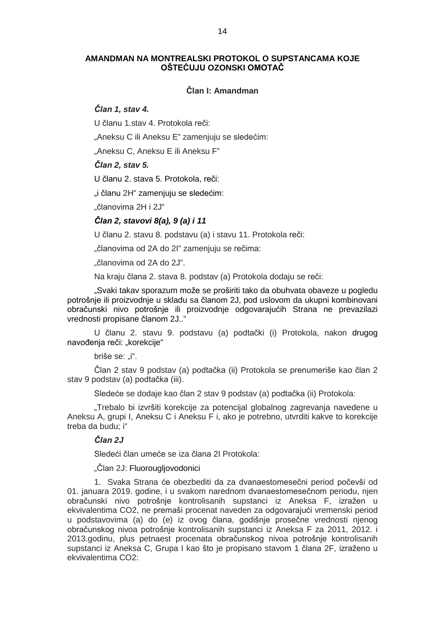#### **AMANDMAN NA MONTREALSKI PROTOKOL O SUPSTANCAMA KOJE OŠTEĆUJU OZONSKI OMOTAČ**

#### **Član I: Amandman**

### *Član 1, stav 4.*

U članu 1.stav 4. Protokola reči:

"Aneksu C ili Aneksu E" zamenjuju se sledećim:

"Aneksu C, Aneksu E ili Aneksu F"

#### *Član 2, stav 5.*

U članu 2. stava 5. Protokola, reči:

"i članu 2H" zamenjuju se sledećim:

"članovima 2H i 2J"

#### *Član 2, stavovi 8(a), 9 (a) i 11*

U članu 2. stavu 8. podstavu (a) i stavu 11. Protokola reči:

"članovima od 2A do 2l" zamenjuju se rečima:

"članovima od 2A do 2J".

Na kraju člana 2. stava 8. podstav (a) Protokola dodaju se reči:

"Svaki takav sporazum može se proširiti tako da obuhvata obaveze u pogledu potrošnje ili proizvodnje u skladu sa članom 2J, pod uslovom da ukupni kombinovani obračunski nivo potrošnje ili proizvodnje odgovarajućih Strana ne prevazilazi vrednosti propisane članom 2J.."

U članu 2. stavu 9. podstavu (a) podtački (i) Protokola, nakon drugog navođenja reči: "korekcije"

briše se: ..i".

Član 2 stav 9 podstav (a) podtačka (ii) Protokola se prenumeriše kao član 2 stav 9 podstav (a) podtačka (iii).

Sledeće se dodaje kao član 2 stav 9 podstav (a) podtačka (ii) Protokola:

"Trebalo bi izvršiti korekcije za potencijal globalnog zagrevanja navedene u Aneksu A, grupi I, Aneksu C i Aneksu F i, ako je potrebno, utvrditi kakve to korekcije treba da budu; i"

#### *Član 2J*

Sledeći član umeće se iza člana 2I Protokola:

"Član 2J: Fluorougljovodonici

1. Svaka Strana će obezbediti da za dvanaestomesečni period počevši od 01. januara 2019. godine, i u svakom narednom dvanaestomesečnom periodu, njen obračunski nivo potrošnje kontrolisanih supstanci iz Aneksa F, izražen u ekvivalentima CO2, ne premaši procenat naveden za odgovarajući vremenski period u podstavovima (a) do (e) iz ovog člana, godišnje prosečne vrednosti njenog obračunskog nivoa potrošnje kontrolisanih supstanci iz Aneksa F za 2011, 2012. i 2013.godinu, plus petnaest procenata obračunskog nivoa potrošnje kontrolisanih supstanci iz Aneksa C, Grupa I kao što je propisano stavom 1 člana 2F, izraženo u ekvivalentima CO2: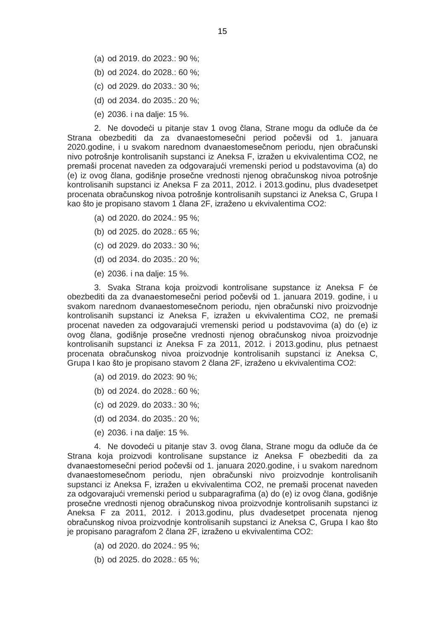- (a) od 2019. do 2023.: 90 %;
- (b) od 2024. do 2028.: 60 %;
- (c) od 2029. do 2033.: 30 %;
- (d) od 2034. do 2035.: 20 %;
- (e) 2036. i na dalje: 15 %.

2. Ne dovodeći u pitanje stav 1 ovog člana, Strane mogu da odluče da će Strana obezbediti da za dvanaestomesečni period počevši od 1. januara 2020.godine, i u svakom narednom dvanaestomesečnom periodu, njen obračunski nivo potrošnje kontrolisanih supstanci iz Aneksa F, izražen u ekvivalentima CO2, ne premaši procenat naveden za odgovarajući vremenski period u podstavovima (a) do (e) iz ovog člana, godišnje prosečne vrednosti njenog obračunskog nivoa potrošnje kontrolisanih supstanci iz Aneksa F za 2011, 2012. i 2013.godinu, plus dvadesetpet procenata obračunskog nivoa potrošnje kontrolisanih supstanci iz Aneksa C, Grupa I kao što je propisano stavom 1 člana 2F, izraženo u ekvivalentima CO2:

- (a) od 2020. do 2024.: 95 %;
- (b) od 2025. do 2028.: 65 %;
- (c) od 2029. do 2033.: 30 %;
- (d) od 2034. do 2035.: 20 %;
- (e) 2036. i na dalje: 15 %.

3. Svaka Strana koja proizvodi kontrolisane supstance iz Aneksa F će obezbediti da za dvanaestomesečni period počevši od 1. januara 2019. godine, i u svakom narednom dvanaestomesečnom periodu, njen obračunski nivo proizvodnje kontrolisanih supstanci iz Aneksa F, izražen u ekvivalentima CO2, ne premaši procenat naveden za odgovarajući vremenski period u podstavovima (a) do (e) iz ovog člana, godišnje prosečne vrednosti njenog obračunskog nivoa proizvodnje kontrolisanih supstanci iz Aneksa F za 2011, 2012. i 2013.godinu, plus petnaest procenata obračunskog nivoa proizvodnje kontrolisanih supstanci iz Aneksa C, Grupa I kao što je propisano stavom 2 člana 2F, izraženo u ekvivalentima CO2:

- (a) od 2019. do 2023: 90 %;
- (b) od 2024. do 2028.: 60 %;
- (c) od 2029. do 2033.: 30 %;
- (d) od 2034. do 2035.: 20 %;
- (e) 2036. i na dalje: 15 %.

4. Ne dovodeći u pitanje stav 3. ovog člana, Strane mogu da odluče da će Strana koja proizvodi kontrolisane supstance iz Aneksa F obezbediti da za dvanaestomesečni period počevši od 1. januara 2020.godine, i u svakom narednom dvanaestomesečnom periodu, njen obračunski nivo proizvodnje kontrolisanih supstanci iz Aneksa F, izražen u ekvivalentima CO2, ne premaši procenat naveden za odgovarajući vremenski period u subparagrafima (a) do (e) iz ovog člana, godišnje prosečne vrednosti njenog obračunskog nivoa proizvodnje kontrolisanih supstanci iz Aneksa F za 2011, 2012. i 2013.godinu, plus dvadesetpet procenata njenog obračunskog nivoa proizvodnje kontrolisanih supstanci iz Aneksa C, Grupa I kao što je propisano paragrafom 2 člana 2F, izraženo u ekvivalentima CO2:

- (a) od 2020. do 2024.: 95 %;
- (b) od 2025. do 2028.: 65 %;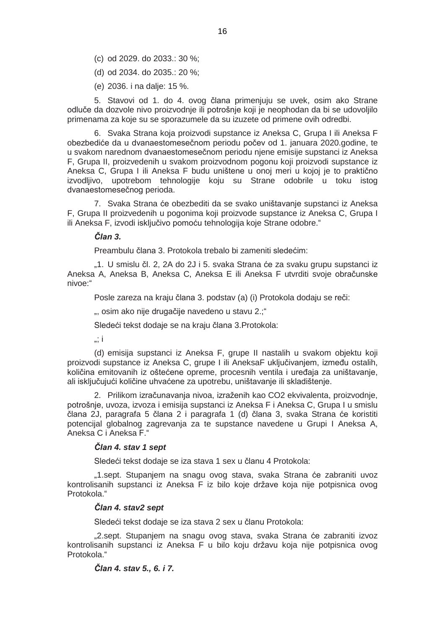- (c) od 2029. do 2033.: 30 %;
- (d) od 2034. do 2035.: 20 %;
- (e) 2036. i na dalje: 15 %.

5. Stavovi od 1. do 4. ovog člana primenjuju se uvek, osim ako Strane odluče da dozvole nivo proizvodnje ili potrošnje koji je neophodan da bi se udovoljilo primenama za koje su se sporazumele da su izuzete od primene ovih odredbi.

6. Svaka Strana koja proizvodi supstance iz Aneksa C, Grupa I ili Aneksa F obezbediće da u dvanaestomesečnom periodu počev od 1. januara 2020.godine, te u svakom narednom dvanaestomesečnom periodu njene emisije supstanci iz Aneksa F, Grupa II, proizvedenih u svakom proizvodnom pogonu koji proizvodi supstance iz Aneksa C, Grupa I ili Aneksa F budu uništene u onoj meri u kojoj je to praktično izvodljivo, upotrebom tehnologije koju su Strane odobrile u toku istog dvanaestomesečnog perioda.

7. Svaka Strana će obezbediti da se svako uništavanje supstanci iz Aneksa F, Grupa II proizvedenih u pogonima koji proizvode supstance iz Aneksa C, Grupa I ili Aneksa F, izvodi isključivo pomoću tehnologija koje Strane odobre."

*Član 3.*

Preambulu člana 3. Protokola trebalo bi zameniti sledećim:

"1. U smislu čl. 2, 2A do 2J i 5. svaka Strana će za svaku grupu supstanci iz Aneksa A, Aneksa B, Aneksa C, Aneksa E ili Aneksa F utvrditi svoje obračunske nivoe:"

Posle zareza na kraju člana 3. podstav (a) (i) Protokola dodaju se reči:

", osim ako nije drugačije navedeno u stavu 2.;"

Sledeći tekst dodaje se na kraju člana 3.Protokola:

 $\therefore$  i

(d) emisija supstanci iz Aneksa F, grupe II nastalih u svakom objektu koji proizvodi supstance iz Aneksa C, grupe I ili AneksaF uključivanjem, između ostalih, količina emitovanih iz oštećene opreme, procesnih ventila i uređaja za uništavanje, ali isključujući količine uhvaćene za upotrebu, uništavanje ili skladištenje.

2. Prilikom izračunavanja nivoa, izraženih kao CO2 ekvivalenta, proizvodnje, potrošnje, uvoza, izvoza i emisija supstanci iz Aneksa F i Aneksa C, Grupa I u smislu člana 2J, paragrafa 5 člana 2 i paragrafa 1 (d) člana 3, svaka Strana će koristiti potencijal globalnog zagrevanja za te supstance navedene u Grupi I Aneksa A, Aneksa C i Aneksa F."

#### *Član 4. stav 1 sept*

Sledeći tekst dodaje se iza stava 1 sex u članu 4 Protokola:

"1.sept. Stupanjem na snagu ovog stava, svaka Strana će zabraniti uvoz kontrolisanih supstanci iz Aneksa F iz bilo koje države koja nije potpisnica ovog Protokola."

#### *Član 4. stav2 sept*

Sledeći tekst dodaje se iza stava 2 sex u članu Protokola:

"2.sept. Stupanjem na snagu ovog stava, svaka Strana će zabraniti izvoz kontrolisanih supstanci iz Aneksa F u bilo koju državu koja nije potpisnica ovog Protokola "

#### *Član 4. stav 5., 6. i 7.*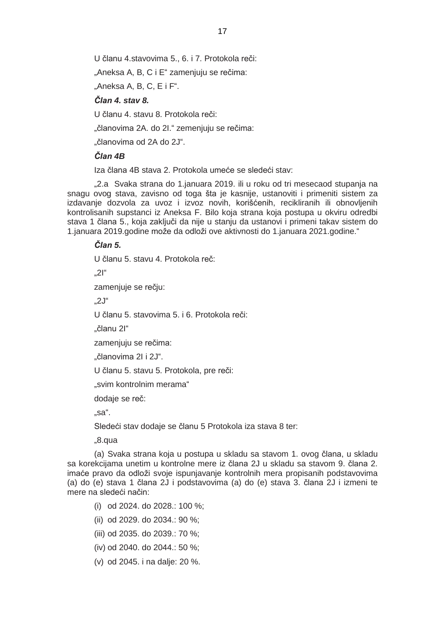U članu 4.stavovima 5., 6. i 7. Protokola reči:

"Aneksa A, B, C i E" zamenjuju se rečima:

"Aneksa A, B, C, E i F".

# *Član 4. stav 8.*

U članu 4. stavu 8. Protokola reči:

... članovima 2A, do 2I." zemeniuju se rečima:

"članovima od 2A do 2J".

# *Član 4B*

Iza člana 4B stava 2. Protokola umeće se sledeći stav:

"2.a Svaka strana do 1.januara 2019. ili u roku od tri mesecaod stupanja na snagu ovog stava, zavisno od toga šta je kasnije, ustanoviti i primeniti sistem za izdavanje dozvola za uvoz i izvoz novih, korišćenih, recikliranih ili obnovljenih kontrolisanih supstanci iz Aneksa F. Bilo koja strana koja postupa u okviru odredbi stava 1 člana 5., koja zaključi da nije u stanju da ustanovi i primeni takav sistem do 1.januara 2019.godine može da odloži ove aktivnosti do 1.januara 2021.godine."

#### *Član 5.*

U članu 5. stavu 4. Protokola reč:

 $.21$ "

zamenjuje se rečju:

 $.2J''$ 

U članu 5. stavovima 5. i 6. Protokola reči:

"članu 2I"

zamenjuju se rečima:

"članovima 2I i 2J".

U članu 5. stavu 5. Protokola, pre reči:

"svim kontrolnim merama"

dodaje se reč:

"sa".

Sledeći stav dodaje se članu 5 Protokola iza stava 8 ter:

"8.qua

(a) Svaka strana koja u postupa u skladu sa stavom 1. ovog člana, u skladu sa korekcijama unetim u kontrolne mere iz člana 2J u skladu sa stavom 9. člana 2. imaće pravo da odloži svoje ispunjavanje kontrolnih mera propisanih podstavovima (a) do (e) stava 1 člana 2J i podstavovima (a) do (e) stava 3. člana 2J i izmeni te mere na sledeći način:

- (i) od 2024. do 2028.: 100 %;
- (ii) od 2029. do 2034.: 90 %;
- (iii) od 2035. do 2039.: 70 %;
- (iv) od 2040. do 2044.: 50 %;
- (v) od 2045. i na dalje: 20 %.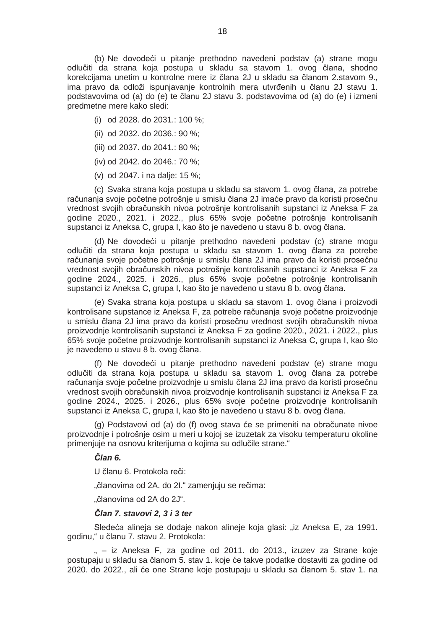(b) Ne dovodeći u pitanje prethodno navedeni podstav (a) strane mogu odlučiti da strana koja postupa u skladu sa stavom 1. ovog člana, shodno korekcijama unetim u kontrolne mere iz člana 2J u skladu sa članom 2.stavom 9., ima pravo da odloži ispunjavanje kontrolnih mera utvrđenih u članu 2J stavu 1. podstavovima od (a) do (e) te članu 2J stavu 3. podstavovima od (a) do (e) i izmeni predmetne mere kako sledi:

- (i) od 2028. do 2031.: 100 %;
- (ii) od 2032. do 2036.: 90 %;
- (iii) od 2037. do 2041.: 80 %;
- (iv) od 2042. do 2046.: 70 %;
- (v) od 2047. i na dalje: 15 %;

(c) Svaka strana koja postupa u skladu sa stavom 1. ovog člana, za potrebe računanja svoje početne potrošnje u smislu člana 2J imaće pravo da koristi prosečnu vrednost svojih obračunskih nivoa potrošnje kontrolisanih supstanci iz Aneksa F za godine 2020., 2021. i 2022., plus 65% svoje početne potrošnje kontrolisanih supstanci iz Aneksa C, grupa I, kao što je navedeno u stavu 8 b. ovog člana.

(d) Ne dovodeći u pitanje prethodno navedeni podstav (c) strane mogu odlučiti da strana koja postupa u skladu sa stavom 1. ovog člana za potrebe računanja svoje početne potrošnje u smislu člana 2J ima pravo da koristi prosečnu vrednost svojih obračunskih nivoa potrošnje kontrolisanih supstanci iz Aneksa F za godine 2024., 2025. i 2026., plus 65% svoje početne potrošnje kontrolisanih supstanci iz Aneksa C, grupa I, kao što je navedeno u stavu 8 b. ovog člana.

(e) Svaka strana koja postupa u skladu sa stavom 1. ovog člana i proizvodi kontrolisane supstance iz Aneksa F, za potrebe računanja svoje početne proizvodnje u smislu člana 2J ima pravo da koristi prosečnu vrednost svojih obračunskih nivoa proizvodnje kontrolisanih supstanci iz Aneksa F za godine 2020., 2021. i 2022., plus 65% svoje početne proizvodnje kontrolisanih supstanci iz Aneksa C, grupa I, kao što je navedeno u stavu 8 b. ovog člana.

(f) Ne dovodeći u pitanje prethodno navedeni podstav (e) strane mogu odlučiti da strana koja postupa u skladu sa stavom 1. ovog člana za potrebe računanja svoje početne proizvodnje u smislu člana 2J ima pravo da koristi prosečnu vrednost svojih obračunskih nivoa proizvodnje kontrolisanih supstanci iz Aneksa F za godine 2024., 2025. i 2026., plus 65% svoje početne proizvodnje kontrolisanih supstanci iz Aneksa C, grupa I, kao što je navedeno u stavu 8 b. ovog člana.

(g) Podstavovi od (a) do (f) ovog stava će se primeniti na obračunate nivoe proizvodnje i potrošnje osim u meri u kojoj se izuzetak za visoku temperaturu okoline primenjuje na osnovu kriterijuma o kojima su odlučile strane."

### *Član 6.*

U članu 6. Protokola reči:

"članovima od 2A. do 2I." zamenjuju se rečima:

"članovima od 2A do 2J".

#### *Član 7. stavovi 2, 3 i 3 ter*

Sledeća alineja se dodaje nakon alineje koja glasi: "iz Aneksa E, za 1991. godinu," u članu 7. stavu 2. Protokola:

" – iz Aneksa F, za godine od 2011. do 2013., izuzev za Strane koje postupaju u skladu sa članom 5. stav 1. koje će takve podatke dostaviti za godine od 2020. do 2022., ali će one Strane koje postupaju u skladu sa članom 5. stav 1. na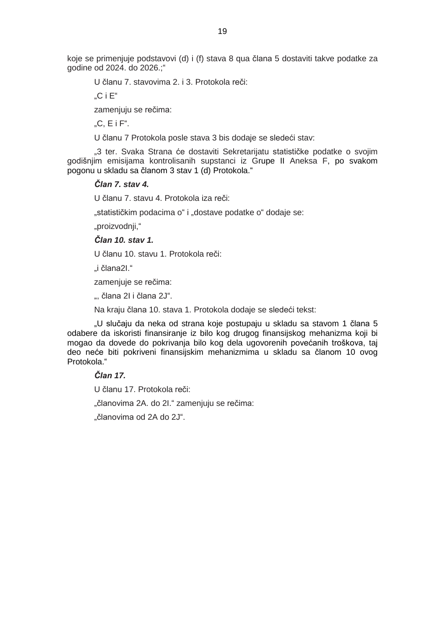koje se primenjuje podstavovi (d) i (f) stava 8 qua člana 5 dostaviti takve podatke za godine od 2024. do 2026.;"

U članu 7. stavovima 2. i 3. Protokola reči:

 $C$  i  $F''$ 

zamenjuju se rečima:

 $\mathbb{C}$ . E i F".

U članu 7 Protokola posle stava 3 bis dodaje se sledeći stav:

"3 ter. Svaka Strana će dostaviti Sekretarijatu statističke podatke o svojim godišnjim emisijama kontrolisanih supstanci iz Grupe II Aneksa F, po svakom pogonu u skladu sa članom 3 stav 1 (d) Protokola."

# *Član 7. stav 4.*

U članu 7. stavu 4. Protokola iza reči:

"statističkim podacima o" i "dostave podatke o" dodaje se:

"proizvodnji,"

## *Član 10. stav 1.*

U članu 10. stavu 1. Protokola reči:

"i člana2I."

zamenjuje se rečima:

", člana 21 i člana 2J".

Na kraju člana 10. stava 1. Protokola dodaje se sledeći tekst:

"U slučaju da neka od strana koje postupaju u skladu sa stavom 1 člana 5 odabere da iskoristi finansiranje iz bilo kog drugog finansijskog mehanizma koji bi mogao da dovede do pokrivanja bilo kog dela ugovorenih povećanih troškova, taj deo neće biti pokriveni finansijskim mehanizmima u skladu sa članom 10 ovog Protokola."

#### *Član 17.*

U članu 17. Protokola reči:

"članovima 2A. do 2I." zamenjuju se rečima:

"članovima od 2A do 2J".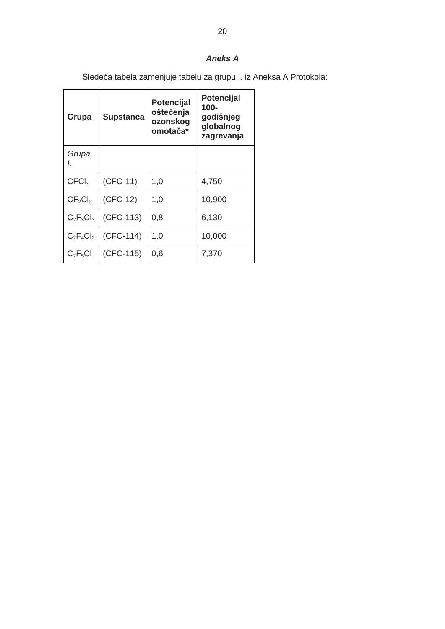# *Aneks A*

Sledeća tabela zamenjuje tabelu za grupu I. iz Aneksa A Protokola:

| Grupa                           | <b>Supstanca</b> | <b>Potencijal</b><br>oštećenja<br>ozonskog<br>omotača* | <b>Potencijal</b><br>$100 -$<br>godišnjeg<br>globalnog<br>zagrevanja |
|---------------------------------|------------------|--------------------------------------------------------|----------------------------------------------------------------------|
| Grupa<br>I.                     |                  |                                                        |                                                                      |
| CFCI <sub>3</sub>               | $(CFC-11)$       | 1,0                                                    | 4,750                                                                |
| CF <sub>2</sub> Cl <sub>2</sub> | $(CFC-12)$       | 1,0                                                    | 10,900                                                               |
| $C_2F_3Cl_3$                    | (CFC-113)        | 0,8                                                    | 6,130                                                                |
| $C_2F_4Cl_2$                    | $(CFC-114)$      | 1,0                                                    | 10,000                                                               |
| $C_2F_5Cl$                      | (CFC-115)        | 0,6                                                    | 7,370                                                                |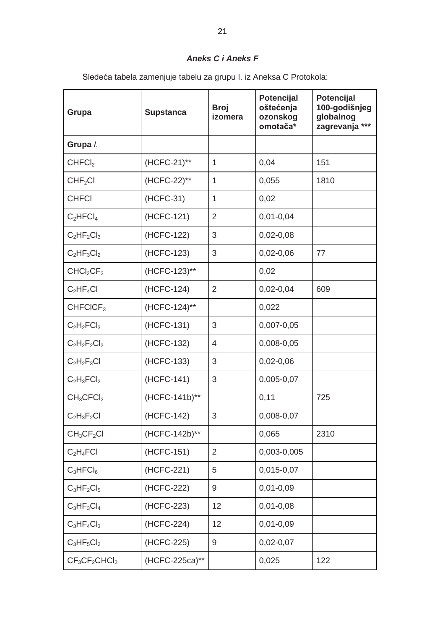# *Aneks C i Aneks F*

Sledeća tabela zamenjuje tabelu za grupu I. iz Aneksa C Protokola:

| Grupa                             | <b>Supstanca</b> | <b>Broj</b><br>izomera | Potencijal<br>oštećenja<br>ozonskog<br>omotača* | Potencijal<br>100-godišnjeg<br>globalnog<br>zagrevanja *** |
|-----------------------------------|------------------|------------------------|-------------------------------------------------|------------------------------------------------------------|
| Grupa /.                          |                  |                        |                                                 |                                                            |
| CHFCI <sub>2</sub>                | (HCFC-21)**      | $\mathbf{1}$           | 0,04                                            | 151                                                        |
| CHF <sub>2</sub> Cl               | (HCFC-22)**      | $\mathbf{1}$           | 0,055                                           | 1810                                                       |
| <b>CHFCI</b>                      | (HCFC-31)        | $\mathbf{1}$           | 0,02                                            |                                                            |
| $C_2$ HFCl <sub>4</sub>           | (HCFC-121)       | 2                      | $0,01 - 0,04$                                   |                                                            |
| $C_2HF_2Cl_3$                     | (HCFC-122)       | 3                      | $0,02-0,08$                                     |                                                            |
| $C_2HF_3Cl_2$                     | (HCFC-123)       | 3                      | $0,02 - 0,06$                                   | 77                                                         |
| CHCl <sub>2</sub> CF <sub>3</sub> | (HCFC-123)**     |                        | 0,02                                            |                                                            |
| $C_2HF_4Cl$                       | (HCFC-124)       | $\overline{2}$         | $0,02-0,04$                                     | 609                                                        |
| CHFCICF <sub>3</sub>              | (HCFC-124)**     |                        | 0,022                                           |                                                            |
| $C_2H_2FCI_3$                     | (HCFC-131)       | 3                      | 0,007-0,05                                      |                                                            |
| $C_2H_2F_2Cl_2$                   | (HCFC-132)       | $\overline{4}$         | 0,008-0,05                                      |                                                            |
| $C_2H_2F_3Cl$                     | (HCFC-133)       | 3                      | $0,02-0,06$                                     |                                                            |
| $C_2H_3FCI_2$                     | (HCFC-141)       | 3                      | 0,005-0,07                                      |                                                            |
| $CH_3CFCI_2$                      | (HCFC-141b)**    |                        | 0,11                                            | 725                                                        |
| $C_2H_3F_2Cl$                     | (HCFC-142)       | 3                      | 0,008-0,07                                      |                                                            |
| $CH_3CF_2Cl$                      | (HCFC-142b)**    |                        | 0,065                                           | 2310                                                       |
| $C_2H_4FCI$                       | (HCFC-151)       | $\overline{2}$         | 0,003-0,005                                     |                                                            |
| $C_3HFCI_6$                       | (HCFC-221)       | 5                      | 0,015-0,07                                      |                                                            |
| $C_3HF_2Cl_5$                     | (HCFC-222)       | 9                      | $0,01 - 0,09$                                   |                                                            |
| $C_3HF_3Cl_4$                     | (HCFC-223)       | 12                     | $0,01 - 0,08$                                   |                                                            |
| $C_3HF_4Cl_3$                     | (HCFC-224)       | 12                     | $0,01 - 0,09$                                   |                                                            |
| $C_3HF_5Cl_2$                     | (HCFC-225)       | 9                      | $0,02-0,07$                                     |                                                            |
| $CF3CF2CHCl2$                     | (HCFC-225ca)**   |                        | 0,025                                           | 122                                                        |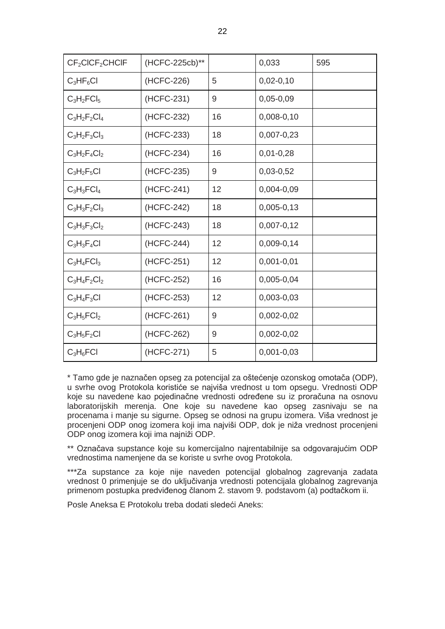| CF <sub>2</sub> CICF <sub>2</sub> CHCIF | (HCFC-225cb)** |    | 0,033          | 595 |
|-----------------------------------------|----------------|----|----------------|-----|
| $C_3HF_6Cl$                             | (HCFC-226)     | 5  | $0,02-0,10$    |     |
| $C_3H_2FCI_5$                           | (HCFC-231)     | 9  | $0,05 - 0,09$  |     |
| $C_3H_2F_2Cl_4$                         | (HCFC-232)     | 16 | $0,008 - 0,10$ |     |
| $C_3H_2F_3Cl_3$                         | (HCFC-233)     | 18 | $0,007 - 0,23$ |     |
| $C_3H_2F_4Cl_2$                         | (HCFC-234)     | 16 | $0,01-0,28$    |     |
| $C_3H_2F_5Cl$                           | (HCFC-235)     | 9  | $0,03-0,52$    |     |
| $C_3H_3FCI_4$                           | (HCFC-241)     | 12 | 0,004-0,09     |     |
| $C_3H_3F_2Cl_3$                         | (HCFC-242)     | 18 | $0,005 - 0,13$ |     |
| $C_3H_3F_3Cl_2$                         | (HCFC-243)     | 18 | $0,007 - 0,12$ |     |
| $C_3H_3F_4Cl$                           | (HCFC-244)     | 12 | $0,009-0,14$   |     |
| $C_3H_4FCI_3$                           | (HCFC-251)     | 12 | $0,001 - 0,01$ |     |
| $C_3H_4F_2Cl_2$                         | (HCFC-252)     | 16 | 0,005-0,04     |     |
| $C_3H_4F_3Cl$                           | (HCFC-253)     | 12 | $0,003-0,03$   |     |
| $C_3H_5FCI_2$                           | (HCFC-261)     | 9  | $0,002 - 0,02$ |     |
| $C_3H_5F_2Cl$                           | (HCFC-262)     | 9  | $0,002 - 0,02$ |     |
| $C_3H_6FCl$                             | (HCFC-271)     | 5  | $0,001 - 0,03$ |     |

\* Tamo gde je naznačen opseg za potencijal za oštećenje ozonskog omotača (ODP), u svrhe ovog Protokola koristiće se najviša vrednost u tom opsegu. Vrednosti ODP koje su navedene kao pojedinačne vrednosti određene su iz proračuna na osnovu laboratorijskih merenja. One koje su navedene kao opseg zasnivaju se na procenama i manje su sigurne. Opseg se odnosi na grupu izomera. Viša vrednost je procenjeni ODP onog izomera koji ima najviši ODP, dok je niža vrednost procenjeni ODP onog izomera koji ima najniži ODP.

\*\* Označava supstance koje su komercijalno najrentabilnije sa odgovarajućim ODP vrednostima namenjene da se koriste u svrhe ovog Protokola.

\*\*\*Za supstance za koje nije naveden potencijal globalnog zagrevanja zadata vrednost 0 primenjuje se do uključivanja vrednosti potencijala globalnog zagrevanja primenom postupka predviđenog članom 2. stavom 9. podstavom (a) podtačkom ii.

Posle Aneksa E Protokolu treba dodati sledeći Aneks: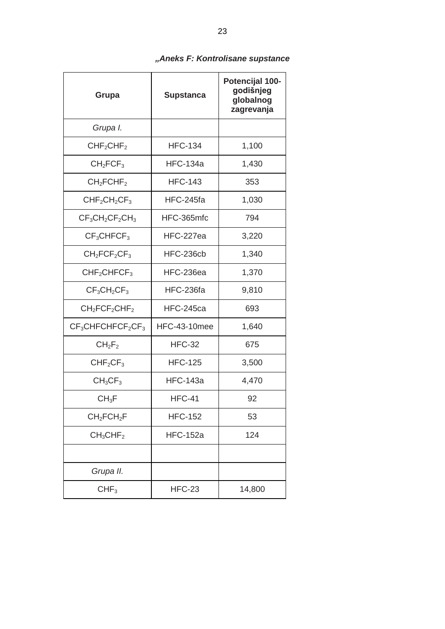| Grupa                               | <b>Supstanca</b>    | Potencijal 100-<br>godišnjeg<br>globalnog<br>zagrevanja |
|-------------------------------------|---------------------|---------------------------------------------------------|
| Grupa I.                            |                     |                                                         |
| CHF <sub>2</sub> CHF <sub>2</sub>   | <b>HFC-134</b>      | 1,100                                                   |
| CH <sub>2</sub> FCF <sub>3</sub>    | <b>HFC-134a</b>     | 1,430                                                   |
| CH <sub>2</sub> FCHF <sub>2</sub>   | <b>HFC-143</b>      | 353                                                     |
| $CHF2CH2CF3$                        | HFC-245fa           | 1,030                                                   |
| $CF_3CH_2CF_2CH_3$                  | HFC-365mfc          | 794                                                     |
| CF <sub>3</sub> CHFCF <sub>3</sub>  | HFC-227ea           | 3,220                                                   |
| $CH2FCF2CF3$                        | HFC-236cb           | 1,340                                                   |
| CHF <sub>2</sub> CHFCF <sub>3</sub> | HFC-236ea           | 1,370                                                   |
| $CF3CH2CF3$                         | HFC-236fa           | 9,810                                                   |
| $CH2FCF2CHF2$                       | HFC-245ca           | 693                                                     |
| $CF3CHFCHFCF2CF3$                   | <b>HFC-43-10mee</b> | 1,640                                                   |
| $CH_2F_2$                           | <b>HFC-32</b>       | 675                                                     |
| CHF <sub>2</sub> CF <sub>3</sub>    | <b>HFC-125</b>      | 3,500                                                   |
| CH <sub>3</sub> CF <sub>3</sub>     | <b>HFC-143a</b>     | 4,470                                                   |
| $CH_3F$                             | <b>HFC-41</b>       | 92                                                      |
| CH <sub>2</sub> FCH <sub>2</sub> F  | <b>HFC-152</b>      | 53                                                      |
| CH <sub>3</sub> CHF <sub>2</sub>    | <b>HFC-152a</b>     | 124                                                     |
|                                     |                     |                                                         |
| Grupa II.                           |                     |                                                         |
| CHF <sub>3</sub>                    | <b>HFC-23</b>       | 14,800                                                  |

# *"Aneks F: Kontrolisane supstance*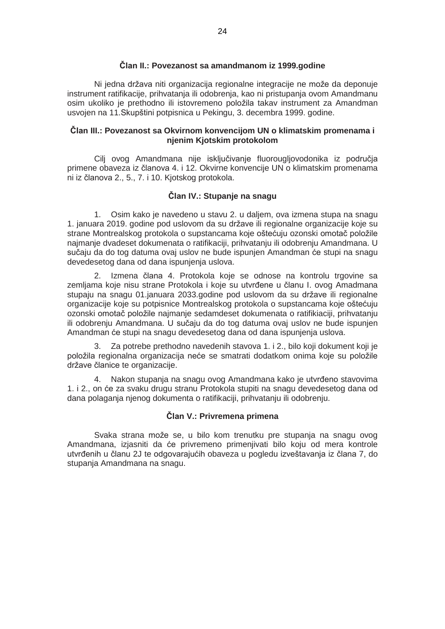#### **Član II.: Povezanost sa amandmanom iz 1999.godine**

Ni jedna država niti organizacija regionalne integracije ne može da deponuje instrument ratifikacije, prihvatanja ili odobrenja, kao ni pristupanja ovom Amandmanu osim ukoliko je prethodno ili istovremeno položila takav instrument za Amandman usvojen na 11.Skupštini potpisnica u Pekingu, 3. decembra 1999. godine.

#### **Član III.: Povezanost sa Okvirnom konvencijom UN o klimatskim promenama i njenim Kjotskim protokolom**

Cilj ovog Amandmana nije isključivanje fluorougljovodonika iz područja primene obaveza iz članova 4. i 12. Okvirne konvencije UN o klimatskim promenama ni iz članova 2., 5., 7. i 10. Kjotskog protokola.

# **Član IV.: Stupanje na snagu**

1. Osim kako je navedeno u stavu 2. u daljem, ova izmena stupa na snagu 1. januara 2019. godine pod uslovom da su države ili regionalne organizacije koje su strane Montrealskog protokola o supstancama koje oštećuju ozonski omotač položile najmanje dvadeset dokumenata o ratifikaciji, prihvatanju ili odobrenju Amandmana. U sučaju da do tog datuma ovaj uslov ne bude ispunjen Amandman će stupi na snagu devedesetog dana od dana ispunjenja uslova.

2. Izmena člana 4. Protokola koje se odnose na kontrolu trgovine sa zemljama koje nisu strane Protokola i koje su utvrđene u članu I. ovog Amadmana stupaju na snagu 01.januara 2033.godine pod uslovom da su države ili regionalne organizacije koje su potpisnice Montrealskog protokola o supstancama koje oštećuju ozonski omotač položile najmanje sedamdeset dokumenata o ratifikiaciji, prihvatanju ili odobrenju Amandmana. U sučaju da do tog datuma ovaj uslov ne bude ispunjen Amandman će stupi na snagu devedesetog dana od dana ispunjenja uslova.

3. Za potrebe prethodno navedenih stavova 1. i 2., bilo koji dokument koji je položila regionalna organizacija neće se smatrati dodatkom onima koje su položile države članice te organizacije.

4. Nakon stupanja na snagu ovog Amandmana kako je utvrđeno stavovima 1. i 2., on će za svaku drugu stranu Protokola stupiti na snagu devedesetog dana od dana polaganja njenog dokumenta o ratifikaciji, prihvatanju ili odobrenju.

#### **Član V.: Privremena primena**

Svaka strana može se, u bilo kom trenutku pre stupanja na snagu ovog Amandmana, izjasniti da će privremeno primenjivati bilo koju od mera kontrole utvrđenih u članu 2J te odgovarajućih obaveza u pogledu izveštavanja iz člana 7, do stupanja Amandmana na snagu.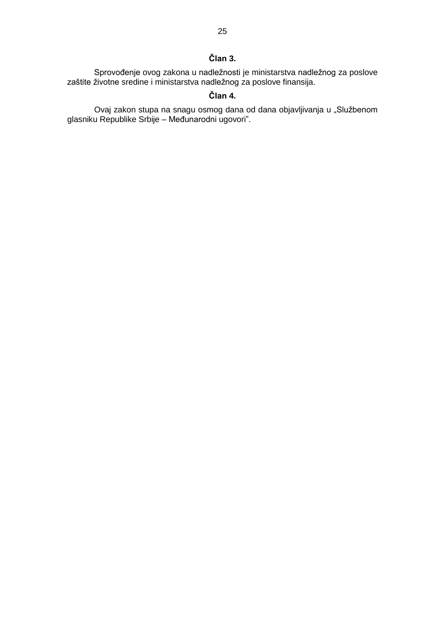# **Član 3.**

Sprovođenje ovog zakona u nadležnosti je ministarstva nadležnog za poslove zaštite životne sredine i ministarstva nadležnog za poslove finansija.

# **Član 4.**

Ovaj zakon stupa na snagu osmog dana od dana objavljivanja u "Službenom glasniku Republike Srbije – Međunarodni ugovori".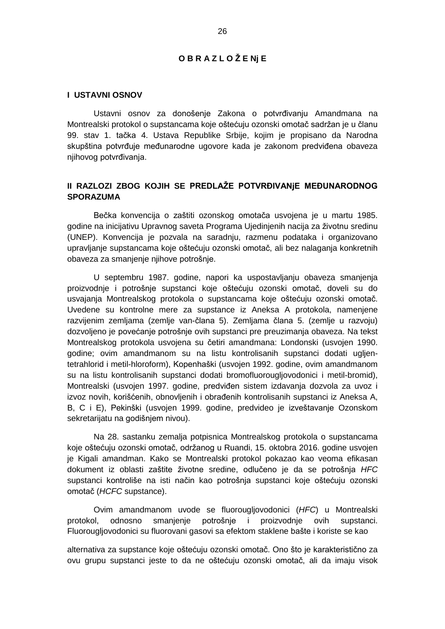# **O B R A Z L O Ž E Nj E**

#### **I USTAVNI OSNOV**

Ustavni osnov za donošenje Zakona o potvrđivanju Amandmana na Montrealski protokol o supstancama koje oštećuju ozonski omotač sadržan je u članu 99. stav 1. tačka 4. Ustava Republike Srbije, kojim je propisano da Narodna skupština potvrđuje međunarodne ugovore kada je zakonom predviđena obaveza njihovog potvrđivanja.

# **II RAZLOZI ZBOG KOJIH SE PREDLAŽE POTVRĐIVANjE MEĐUNARODNOG SPORAZUMA**

Bečka konvencija o zaštiti ozonskog omotača usvojena je u martu 1985. godine na inicijativu Upravnog saveta Programa Ujedinjenih nacija za životnu sredinu (UNEP). Konvencija je pozvala na saradnju, razmenu podataka i organizovano upravljanje supstancama koje oštećuju ozonski omotač, ali bez nalaganja konkretnih obaveza za smanjenje njihove potrošnje.

U septembru 1987. godine, napori ka uspostavljanju obaveza smanjenja proizvodnje i potrošnje supstanci koje oštećuju ozonski omotač, doveli su do usvajanja Montrealskog protokola o supstancama koje oštećuju ozonski omotač. Uvedene su kontrolne mere za supstance iz Aneksa A protokola, namenjene razvijenim zemljama (zemlje van-člana 5). Zemljama člana 5. (zemlje u razvoju) dozvoljeno je povećanje potrošnje ovih supstanci pre preuzimanja obaveza. Na tekst Montrealskog protokola usvojena su četiri amandmana: Londonski (usvojen 1990. godine; ovim amandmanom su na listu kontrolisanih supstanci dodati ugljentetrahlorid i metil-hloroform), Kopenhaški (usvojen 1992. godine, ovim amandmanom su na listu kontrolisanih supstanci dodati bromofluorougljovodonici i metil-bromid), Montrealski (usvojen 1997. godine, predviđen sistem izdavanja dozvola za uvoz i izvoz novih, korišćenih, obnovljenih i obrađenih kontrolisanih supstanci iz Aneksa A, B, C i E), Pekinški (usvojen 1999. godine, predvideo je izveštavanje Ozonskom sekretarijatu na godišnjem nivou).

Na 28. sastanku zemalja potpisnica Montrealskog protokola o supstancama koje oštećuju ozonski omotač, održanog u Ruandi, 15. oktobra 2016. godine usvojen je Kigali amandman. Kako se Montrealski protokol pokazao kao veoma efikasan dokument iz oblasti zaštite životne sredine, odlučeno je da se potrošnja *HFC* supstanci kontroliše na isti način kao potrošnja supstanci koje oštećuju ozonski omotač (*HCFC* supstance).

Ovim amandmanom uvode se fluorougljovodonici (*HFC*) u Montrealski protokol, odnosno smanjenje potrošnje i proizvodnje ovih supstanci. Fluorougljovodonici su fluorovani gasovi sa efektom staklene bašte i koriste se kao

alternativa za supstance koje oštećuju ozonski omotač. Ono što je karakteristično za ovu grupu supstanci jeste to da ne oštećuju ozonski omotač, ali da imaju visok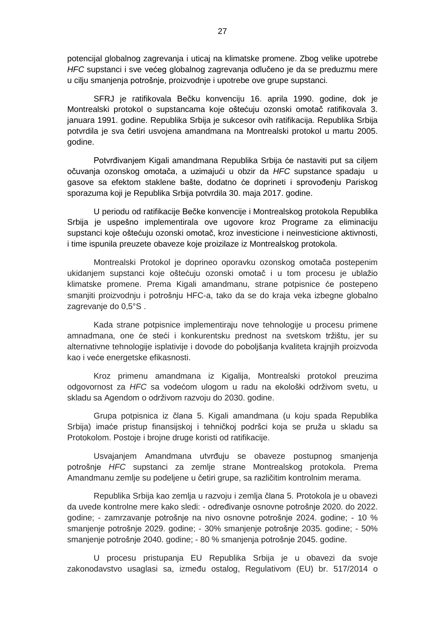potencijal globalnog zagrevanja i uticaj na klimatske promene. Zbog velike upotrebe *HFC* supstanci i sve većeg globalnog zagrevanja odlučeno je da se preduzmu mere u cilju smanjenja potrošnje, proizvodnje i upotrebe ove grupe supstanci.

SFRJ je ratifikovala Bečku konvenciju 16. aprila 1990. godine, dok je Montrealski protokol o supstancama koje oštećuju ozonski omotač ratifikovala 3. januara 1991. godine. Republika Srbija je sukcesor ovih ratifikacija. Republika Srbija potvrdila je sva četiri usvojena amandmana na Montrealski protokol u martu 2005. godine.

Potvrđivanjem Kigali amandmana Republika Srbija će nastaviti put sa ciljem očuvanja ozonskog omotača, a uzimajući u obzir da *HFC* supstance spadaju u gasove sa efektom staklene bašte, dodatno će doprineti i sprovođenju Pariskog sporazuma koji je Republika Srbija potvrdila 30. maja 2017. godine.

U periodu od ratifikacije Bečke konvencije i Montrealskog protokola Republika Srbija je uspešno implementirala ove ugovore kroz Programe za eliminaciju supstanci koje oštećuju ozonski omotač, kroz investicione i neinvesticione aktivnosti, i time ispunila preuzete obaveze koje proizilaze iz Montrealskog protokola.

Montrealski Protokol je doprineo oporavku ozonskog omotača postepenim ukidanjem supstanci koje oštećuju ozonski omotač i u tom procesu je ublažio klimatske promene. Prema Kigali amandmanu, strane potpisnice će postepeno smanjiti proizvodnju i potrošnju HFC-a, tako da se do kraja veka izbegne globalno zagrevanje do 0,5°S .

Kada strane potpisnice implementiraju nove tehnologije u procesu primene amnadmana, one će steći i konkurentsku prednost na svetskom tržištu, jer su alternativne tehnologije isplativije i dovode do poboljšanja kvaliteta krajnjih proizvoda kao i veće energetske efikasnosti.

Kroz primenu amandmana iz Kigalija, Montrealski protokol preuzima odgovornost za *HFC* sa vodećom ulogom u radu na ekološki održivom svetu, u skladu sa Agendom o održivom razvoju do 2030. godine.

Grupa potpisnica iz člana 5. Kigali amandmana (u koju spada Republika Srbija) imaće pristup finansijskoj i tehničkoj podršci koja se pruža u skladu sa Protokolom. Postoje i brojne druge koristi od ratifikacije.

Usvajanjem Amandmana utvrđuju se obaveze postupnog smanjenja potrošnje *HFC* supstanci za zemlje strane Montrealskog protokola. Prema Amandmanu zemlje su podeljene u četiri grupe, sa različitim kontrolnim merama.

Republika Srbija kao zemlja u razvoju i zemlja člana 5. Protokola je u obavezi da uvede kontrolne mere kako sledi: - određivanje osnovne potrošnje 2020. do 2022. godine; - zamrzavanje potrošnje na nivo osnovne potrošnje 2024. godine; - 10 % smanjenje potrošnje 2029. godine; - 30% smanjenje potrošnje 2035. godine; - 50% smanjenje potrošnje 2040. godine; - 80 % smanjenja potrošnje 2045. godine.

U procesu pristupanja EU Republika Srbija je u obavezi da svoje zakonodavstvo usaglasi sa, između ostalog, Regulativom (EU) br. 517/2014 o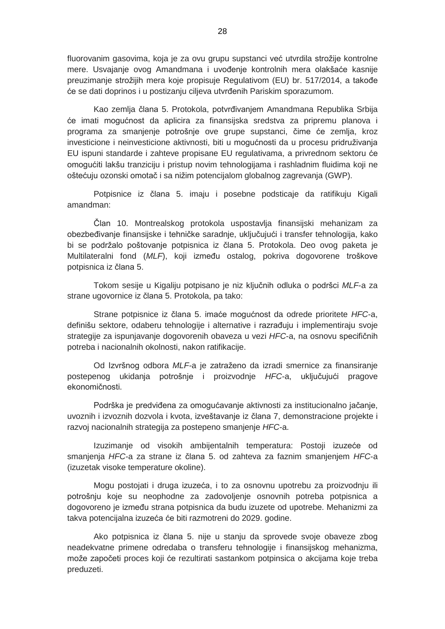fluorovanim gasovima, koja je za ovu grupu supstanci već utvrdila strožije kontrolne mere. Usvajanje ovog Amandmana i uvođenje kontrolnih mera olakšaće kasnije preuzimanje strožijih mera koje propisuje Regulativom (EU) br. 517/2014, a takođe će se dati doprinos i u postizanju ciljeva utvrđenih Pariskim sporazumom.

Kao zemlja člana 5. Protokola, potvrđivanjem Amandmana Republika Srbija će imati mogućnost da aplicira za finansijska sredstva za pripremu planova i programa za smanjenje potrošnje ove grupe supstanci, čime će zemlja, kroz investicione i neinvesticione aktivnosti, biti u mogućnosti da u procesu pridruživanja EU ispuni standarde i zahteve propisane EU regulativama, a privrednom sektoru će omogućiti lakšu tranziciju i pristup novim tehnologijama i rashladnim fluidima koji ne oštećuju ozonski omotač i sa nižim potencijalom globalnog zagrevanja (GWP).

Potpisnice iz člana 5. imaju i posebne podsticaje da ratifikuju Kigali amandman:

Član 10. Montrealskog protokola uspostavlja finansijski mehanizam za obezbeđivanje finansijske i tehničke saradnje, uključujući i transfer tehnologija, kako bi se podržalo poštovanje potpisnica iz člana 5. Protokola. Deo ovog paketa je Multilateralni fond (*MLF*), koji između ostalog, pokriva dogovorene troškove potpisnica iz člana 5.

Tokom sesije u Kigaliju potpisano je niz ključnih odluka o podršci *MLF*-a za strane ugovornice iz člana 5. Protokola, pa tako:

Strane potpisnice iz člana 5. imaće mogućnost da odrede prioritete *HFC*-a, definišu sektore, odaberu tehnologije i alternative i razrađuju i implementiraju svoje strategije za ispunjavanje dogovorenih obaveza u vezi *HFC*-a, na osnovu specifičnih potreba i nacionalnih okolnosti, nakon ratifikacije.

Od Izvršnog odbora *MLF-*a je zatraženo da izradi smernice za finansiranje postepenog ukidanja potrošnje i proizvodnje *HFC*-a, uključujući pragove ekonomičnosti.

Podrška je predviđena za omogućavanje aktivnosti za institucionalno jačanje, uvoznih i izvoznih dozvola i kvota, izveštavanje iz člana 7, demonstracione projekte i razvoj nacionalnih strategija za postepeno smanjenje *HFC*-a.

Izuzimanje od visokih ambijentalnih temperatura: Postoji izuzeće od smanjenja *HFC-*a za strane iz člana 5. od zahteva za faznim smanjenjem *HFC*-a (izuzetak visoke temperature okoline).

Mogu postojati i druga izuzeća, i to za osnovnu upotrebu za proizvodnju ili potrošnju koje su neophodne za zadovoljenje osnovnih potreba potpisnica a dogovoreno je između strana potpisnica da budu izuzete od upotrebe. Mehanizmi za takva potencijalna izuzeća će biti razmotreni do 2029. godine.

Ako potpisnica iz člana 5. nije u stanju da sprovede svoje obaveze zbog neadekvatne primene odredaba o transferu tehnologije i finansijskog mehanizma, može započeti proces koji će rezultirati sastankom potpinsica o akcijama koje treba preduzeti.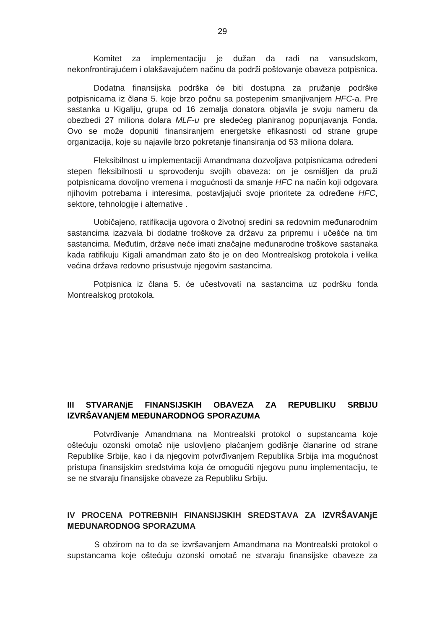Komitet za implementaciju je dužan da radi na vansudskom, nekonfrontirajućem i olakšavajućem načinu da podrži poštovanje obaveza potpisnica.

Dodatna finansijska podrška će biti dostupna za pružanje podrške potpisnicama iz člana 5. koje brzo počnu sa postepenim smanjivanjem *HFC*-a. Pre sastanka u Kigaliju, grupa od 16 zemalja donatora objavila je svoju nameru da obezbedi 27 miliona dolara *MLF-u* pre sledećeg planiranog popunjavanja Fonda. Ovo se može dopuniti finansiranjem energetske efikasnosti od strane grupe organizacija, koje su najavile brzo pokretanje finansiranja od 53 miliona dolara.

Fleksibilnost u implementaciji Amandmana dozvoljava potpisnicama određeni stepen fleksibilnosti u sprovođenju svojih obaveza: on je osmišljen da pruži potpisnicama dovoljno vremena i mogućnosti da smanje *HFC* na način koji odgovara njihovim potrebama i interesima, postavljajući svoje prioritete za određene *HFC*, sektore, tehnologije i alternative .

Uobičajeno, ratifikacija ugovora o životnoj sredini sa redovnim međunarodnim sastancima izazvala bi dodatne troškove za državu za pripremu i učešće na tim sastancima. Međutim, države neće imati značajne međunarodne troškove sastanaka kada ratifikuju Kigali amandman zato što je on deo Montrealskog protokola i velika većina država redovno prisustvuje njegovim sastancima.

Potpisnica iz člana 5. će učestvovati na sastancima uz podršku fonda Montrealskog protokola.

# **III STVARANjE FINANSIJSKIH OBAVEZA ZA REPUBLIKU SRBIJU IZVRŠAVANjEM MEĐUNARODNOG SPORAZUMA**

Potvrđivanje Amandmana na Montrealski protokol o supstancama koje oštećuju ozonski omotač nije uslovljeno plaćanjem godišnje članarine od strane Republike Srbije, kao i da njegovim potvrđivanjem Republika Srbija ima mogućnost pristupa finansijskim sredstvima koja će omogućiti njegovu punu implementaciju, te se ne stvaraju finansijske obaveze za Republiku Srbiju.

# **IV PROCENA POTREBNIH FINANSIJSKIH SREDSTAVA ZA IZVRŠAVANjE MEĐUNARODNOG SPORAZUMA**

S obzirom na to da se izvršavanjem Amandmana na Montrealski protokol o supstancama koje oštećuju ozonski omotač ne stvaraju finansijske obaveze za